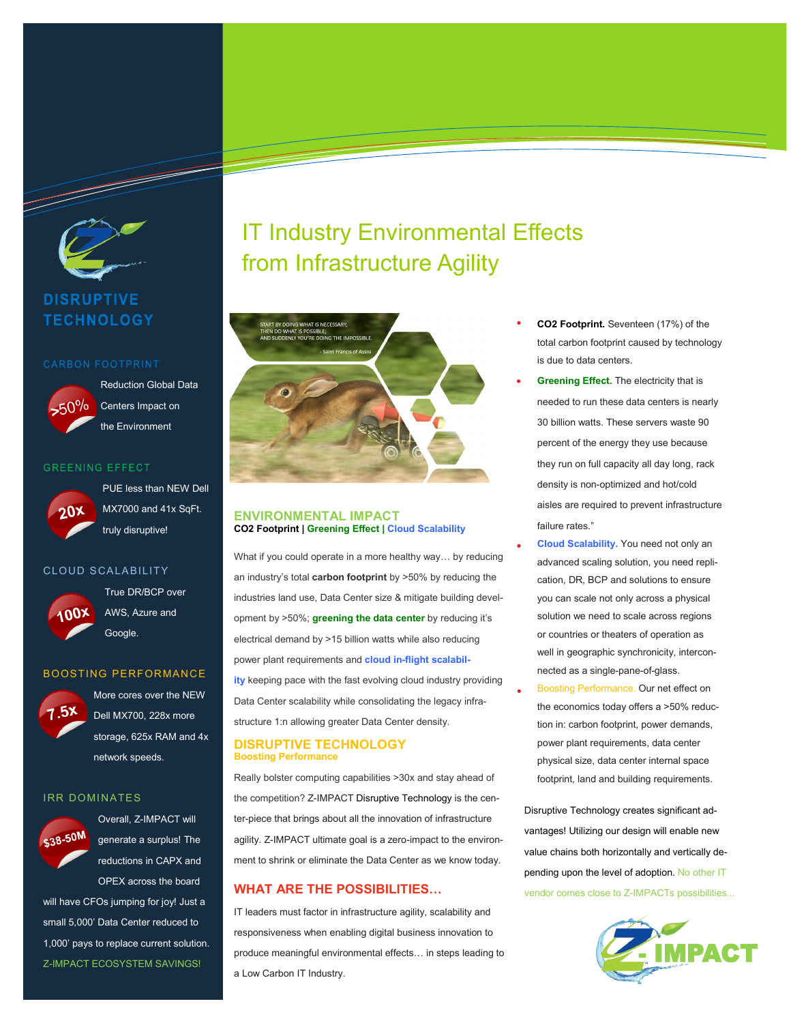

a da kasar Tanzania.<br>Tanzania

**DISRUPTIVE TECHNOLOGY** 



Reduction Global Data Centers Impact on the Environment

# **GREENING EFFECT**



PUE less than NEW Dell MX7000 and 41x SqFt. truly disruptive!

### CLOUD SCALABILITY



True DR/BCP over AWS, Azure and Google.

# BOOSTING PERFORMANCE



More cores over the NEW Dell MX700, 228x more storage, 625x RAM and 4x network speeds.

#### **IRR DOMINATES**



Overall, Z-IMPACT will generate a surplus! The reductions in CAPX and OPEX across the board

will have CFOs jumping for joy! Just a small 5,000' Data Center reduced to 1,000' pays to replace current solution. Z-IMPACT ECOSYSTEM SAVINGS!

# IT Industry Environmental Effects from Infrastructure Agility



# **ENVIRONMENTAL IMPACT CO2 Footprint | Greening Effect | Cloud Scalability**

What if you could operate in a more healthy way… by reducing an industry's total **carbon footprint** by >50% by reducing the industries land use, Data Center size & mitigate building development by >50%; **greening the data center** by reducing it's electrical demand by >15 billion watts while also reducing power plant requirements and **cloud in-flight scalability** keeping pace with the fast evolving cloud industry providing Data Center scalability while consolidating the legacy infrastructure 1:n allowing greater Data Center density.

# **DISRUPTIVE TECHNOLOGY Boosting Performance**

Really bolster computing capabilities >30x and stay ahead of the competition? Z-IMPACT [Disruptive Technology](https://z-impact.com/disruptive-technologies/) is the center-piece that brings about all the innovation of infrastructure agility. Z-IMPACT ultimate goal is a zero-impact to the environment to shrink or eliminate the Data Center as we know today.

# **WHAT ARE THE POSSIBILITIES…**

IT leaders must factor in infrastructure agility, scalability and responsiveness when enabling digital business innovation to produce meaningful environmental effects… in steps leading to a Low Carbon IT Industry.

- **CO2 Footprint.** Seventeen (17%) of the total carbon footprint caused by technology is due to data centers.
- **Greening Effect.** The electricity that is needed to run these data centers is nearly 30 billion watts. These servers waste 90 percent of the energy they use because they run on full capacity all day long, rack density is non-optimized and hot/cold aisles are required to prevent infrastructure failure rates."
- **Cloud Scalability.** You need not only an advanced scaling solution, you need replication, DR, BCP and solutions to ensure you can scale not only across a physical solution we need to scale across regions or countries or theaters of operation as well in geographic synchronicity, interconnected as a single-pane-of-glass.
	- Boosting Performance. Our net effect on the economics today offers a >50% reduction in: carbon footprint, power demands, power plant requirements, data center physical size, data center internal space footprint, land and building requirements.

Disruptive Technology creates significant advantages! Utilizing our design will enable new value chains both horizontally and vertically depending upon the level of adoption. No other IT vendor comes close to Z-IMPACTs possibilities...